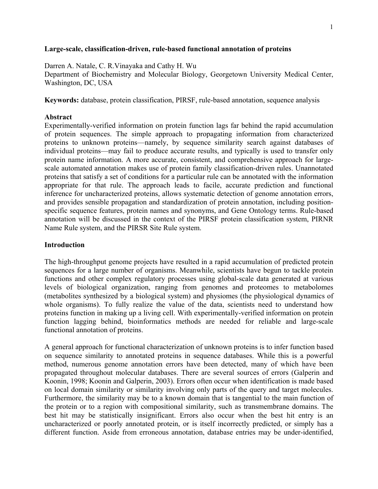### **Large-scale, classification-driven, rule-based functional annotation of proteins**

Darren A. Natale, C. R.Vinayaka and Cathy H. Wu Department of Biochemistry and Molecular Biology, Georgetown University Medical Center, Washington, DC, USA

**Keywords:** database, protein classification, PIRSF, rule-based annotation, sequence analysis

# **Abstract**

Experimentally-verified information on protein function lags far behind the rapid accumulation of protein sequences. The simple approach to propagating information from characterized proteins to unknown proteins—namely, by sequence similarity search against databases of individual proteins—may fail to produce accurate results, and typically is used to transfer only protein name information. A more accurate, consistent, and comprehensive approach for largescale automated annotation makes use of protein family classification-driven rules. Unannotated proteins that satisfy a set of conditions for a particular rule can be annotated with the information appropriate for that rule. The approach leads to facile, accurate prediction and functional inference for uncharacterized proteins, allows systematic detection of genome annotation errors, and provides sensible propagation and standardization of protein annotation, including positionspecific sequence features, protein names and synonyms, and Gene Ontology terms. Rule-based annotation will be discussed in the context of the PIRSF protein classification system, PIRNR Name Rule system, and the PIRSR Site Rule system.

# **Introduction**

The high-throughput genome projects have resulted in a rapid accumulation of predicted protein sequences for a large number of organisms. Meanwhile, scientists have begun to tackle protein functions and other complex regulatory processes using global-scale data generated at various levels of biological organization, ranging from genomes and proteomes to metabolomes (metabolites synthesized by a biological system) and physiomes (the physiological dynamics of whole organisms). To fully realize the value of the data, scientists need to understand how proteins function in making up a living cell. With experimentally-verified information on protein function lagging behind, bioinformatics methods are needed for reliable and large-scale functional annotation of proteins.

A general approach for functional characterization of unknown proteins is to infer function based on sequence similarity to annotated proteins in sequence databases. While this is a powerful method, numerous genome annotation errors have been detected, many of which have been propagated throughout molecular databases. There are several sources of errors (Galperin and Koonin, 1998; Koonin and Galperin, 2003). Errors often occur when identification is made based on local domain similarity or similarity involving only parts of the query and target molecules. Furthermore, the similarity may be to a known domain that is tangential to the main function of the protein or to a region with compositional similarity, such as transmembrane domains. The best hit may be statistically insignificant. Errors also occur when the best hit entry is an uncharacterized or poorly annotated protein, or is itself incorrectly predicted, or simply has a different function. Aside from erroneous annotation, database entries may be under-identified,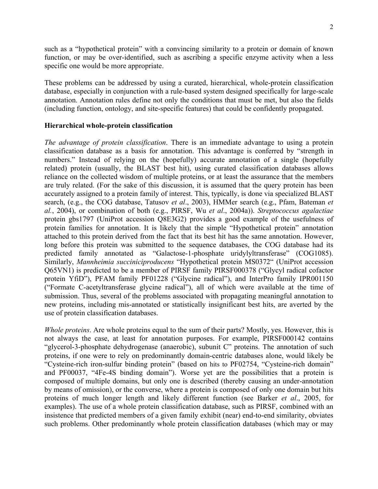such as a "hypothetical protein" with a convincing similarity to a protein or domain of known function, or may be over-identified, such as ascribing a specific enzyme activity when a less specific one would be more appropriate.

These problems can be addressed by using a curated, hierarchical, whole-protein classification database, especially in conjunction with a rule-based system designed specifically for large-scale annotation. Annotation rules define not only the conditions that must be met, but also the fields (including function, ontology, and site-specific features) that could be confidently propagated.

# **Hierarchical whole-protein classification**

*The advantage of protein classification*. There is an immediate advantage to using a protein classification database as a basis for annotation. This advantage is conferred by "strength in numbers." Instead of relying on the (hopefully) accurate annotation of a single (hopefully related) protein (usually, the BLAST best hit), using curated classification databases allows reliance on the collected wisdom of multiple proteins, or at least the assurance that the members are truly related. (For the sake of this discussion, it is assumed that the query protein has been accurately assigned to a protein family of interest. This, typically, is done via specialized BLAST search, (e.g., the COG database, Tatusov *et al*., 2003), HMMer search (e.g., Pfam, Bateman *et al.*, 2004), or combination of both (e.g., PIRSF, Wu *et al*., 2004a)). *Streptococcus agalactiae* protein gbs1797 (UniProt accession Q8E3G2) provides a good example of the usefulness of protein families for annotation. It is likely that the simple "Hypothetical protein" annotation attached to this protein derived from the fact that its best hit has the same annotation. However, long before this protein was submitted to the sequence databases, the COG database had its predicted family annotated as "Galactose-1-phosphate uridylyltransferase" (COG1085). Similarly, *Mannheimia succiniciproducens* "Hypothetical protein MS0372" (UniProt accession Q65VN1) is predicted to be a member of PIRSF family PIRSF000378 ("Glycyl radical cofactor protein YfiD"), PFAM family PF01228 ("Glycine radical"), and InterPro family IPR001150 ("Formate C-acetyltransferase glycine radical"), all of which were available at the time of submission. Thus, several of the problems associated with propagating meaningful annotation to new proteins, including mis-annotated or statistically insignificant best hits, are averted by the use of protein classification databases.

*Whole proteins*. Are whole proteins equal to the sum of their parts? Mostly, yes. However, this is not always the case, at least for annotation purposes. For example, PIRSF000142 contains "glycerol-3-phosphate dehydrogenase (anaerobic), subunit C" proteins. The annotation of such proteins, if one were to rely on predominantly domain-centric databases alone, would likely be "Cysteine-rich iron-sulfur binding protein" (based on hits to PF02754, "Cysteine-rich domain" and PF00037, "4Fe-4S binding domain"). Worse yet are the possibilities that a protein is composed of multiple domains, but only one is described (thereby causing an under-annotation by means of omission), or the converse, where a protein is composed of only one domain but hits proteins of much longer length and likely different function (see Barker *et al*., 2005, for examples). The use of a whole protein classification database, such as PIRSF, combined with an insistence that predicted members of a given family exhibit (near) end-to-end similarity, obviates such problems. Other predominantly whole protein classification databases (which may or may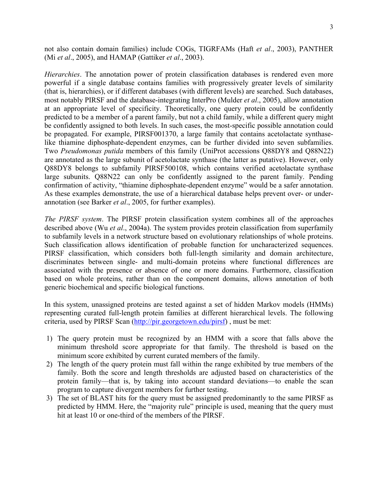not also contain domain families) include COGs, TIGRFAMs (Haft *et al*., 2003), PANTHER (Mi *et al*., 2005), and HAMAP (Gattiker *et al*., 2003).

*Hierarchies*. The annotation power of protein classification databases is rendered even more powerful if a single database contains families with progressively greater levels of similarity (that is, hierarchies), or if different databases (with different levels) are searched. Such databases, most notably PIRSF and the database-integrating InterPro (Mulder *et al*., 2005), allow annotation at an appropriate level of specificity. Theoretically, one query protein could be confidently predicted to be a member of a parent family, but not a child family, while a different query might be confidently assigned to both levels. In such cases, the most-specific possible annotation could be propagated. For example, PIRSF001370, a large family that contains acetolactate synthaselike thiamine diphosphate-dependent enzymes, can be further divided into seven subfamilies. Two *Pseudomonas putida* members of this family (UniProt accessions Q88DY8 and Q88N22) are annotated as the large subunit of acetolactate synthase (the latter as putative). However, only Q88DY8 belongs to subfamily PIRSF500108, which contains verified acetolactate synthase large subunits. Q88N22 can only be confidently assigned to the parent family. Pending confirmation of activity, "thiamine diphosphate-dependent enzyme" would be a safer annotation. As these examples demonstrate, the use of a hierarchical database helps prevent over- or underannotation (see Barker *et al*., 2005, for further examples).

*The PIRSF system*. The PIRSF protein classification system combines all of the approaches described above (Wu *et al*., 2004a). The system provides protein classification from superfamily to subfamily levels in a network structure based on evolutionary relationships of whole proteins. Such classification allows identification of probable function for uncharacterized sequences. PIRSF classification, which considers both full-length similarity and domain architecture, discriminates between single- and multi-domain proteins where functional differences are associated with the presence or absence of one or more domains. Furthermore, classification based on whole proteins, rather than on the component domains, allows annotation of both generic biochemical and specific biological functions.

In this system, unassigned proteins are tested against a set of hidden Markov models (HMMs) representing curated full-length protein families at different hierarchical levels. The following criteria, used by PIRSF Scan [\(http://pir.georgetown.edu/pirsf\)](http://pir.georgetown.edu/pirsf) , must be met:

- 1) The query protein must be recognized by an HMM with a score that falls above the minimum threshold score appropriate for that family. The threshold is based on the minimum score exhibited by current curated members of the family.
- 2) The length of the query protein must fall within the range exhibited by true members of the family. Both the score and length thresholds are adjusted based on characteristics of the protein family—that is, by taking into account standard deviations—to enable the scan program to capture divergent members for further testing.
- 3) The set of BLAST hits for the query must be assigned predominantly to the same PIRSF as predicted by HMM. Here, the "majority rule" principle is used, meaning that the query must hit at least 10 or one-third of the members of the PIRSF.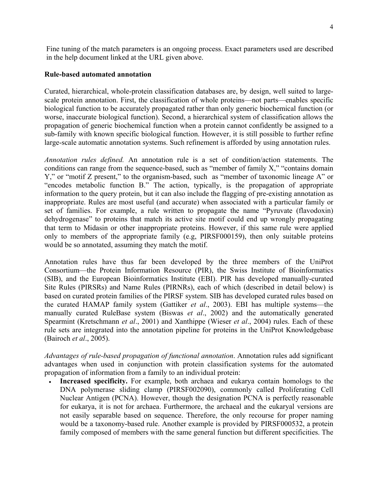Fine tuning of the match parameters is an ongoing process. Exact parameters used are described in the help document linked at the URL given above.

# **Rule-based automated annotation**

Curated, hierarchical, whole-protein classification databases are, by design, well suited to largescale protein annotation. First, the classification of whole proteins—not parts—enables specific biological function to be accurately propagated rather than only generic biochemical function (or worse, inaccurate biological function). Second, a hierarchical system of classification allows the propagation of generic biochemical function when a protein cannot confidently be assigned to a sub-family with known specific biological function. However, it is still possible to further refine large-scale automatic annotation systems. Such refinement is afforded by using annotation rules.

*Annotation rules defined.* An annotation rule is a set of condition/action statements. The conditions can range from the sequence-based, such as "member of family X," "contains domain Y," or "motif Z present," to the organism-based, such as "member of taxonomic lineage A" or "encodes metabolic function B." The action, typically, is the propagation of appropriate information to the query protein, but it can also include the flagging of pre-existing annotation as inappropriate. Rules are most useful (and accurate) when associated with a particular family or set of families. For example, a rule written to propagate the name "Pyruvate (flavodoxin) dehydrogenase" to proteins that match its active site motif could end up wrongly propagating that term to Midasin or other inappropriate proteins. However, if this same rule were applied only to members of the appropriate family (e.g, PIRSF000159), then only suitable proteins would be so annotated, assuming they match the motif.

Annotation rules have thus far been developed by the three members of the UniProt Consortium—the Protein Information Resource (PIR), the Swiss Institute of Bioinformatics (SIB), and the European Bioinformatics Institute (EBI). PIR has developed manually-curated Site Rules (PIRSRs) and Name Rules (PIRNRs), each of which (described in detail below) is based on curated protein families of the PIRSF system. SIB has developed curated rules based on the curated HAMAP family system (Gattiker *et al*., 2003). EBI has multiple systems—the manually curated RuleBase system (Biswas *et al*., 2002) and the automatically generated Spearmint (Kretschmann *et al*., 2001) and Xanthippe (Wieser *et al*., 2004) rules. Each of these rule sets are integrated into the annotation pipeline for proteins in the UniProt Knowledgebase (Bairoch *et al*., 2005).

*Advantages of rule-based propagation of functional annotation*. Annotation rules add significant advantages when used in conjunction with protein classification systems for the automated propagation of information from a family to an individual protein:

• **Increased specificity.** For example, both archaea and eukarya contain homologs to the DNA polymerase sliding clamp (PIRSF002090), commonly called Proliferating Cell Nuclear Antigen (PCNA). However, though the designation PCNA is perfectly reasonable for eukarya, it is not for archaea. Furthermore, the archaeal and the eukaryal versions are not easily separable based on sequence. Therefore, the only recourse for proper naming would be a taxonomy-based rule. Another example is provided by PIRSF000532, a protein family composed of members with the same general function but different specificities. The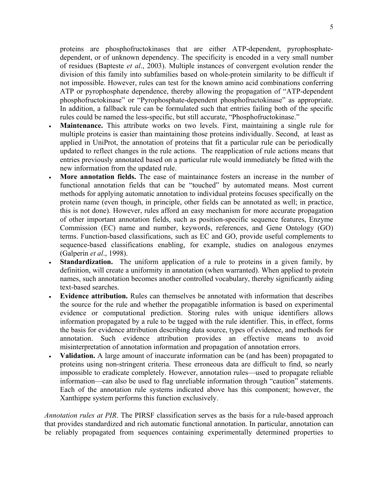proteins are phosphofructokinases that are either ATP-dependent, pyrophosphatedependent, or of unknown dependency. The specificity is encoded in a very small number of residues (Bapteste *et al*., 2003). Multiple instances of convergent evolution render the division of this family into subfamilies based on whole-protein similarity to be difficult if not impossible. However, rules can test for the known amino acid combinations conferring ATP or pyrophosphate dependence, thereby allowing the propagation of "ATP-dependent phosphofructokinase" or "Pyrophosphate-dependent phosphofructokinase" as appropriate. In addition, a fallback rule can be formulated such that entries failing both of the specific rules could be named the less-specific, but still accurate, "Phosphofructokinase."

- **Maintenance.** This attribute works on two levels. First, maintaining a single rule for multiple proteins is easier than maintaining those proteins individually. Second, at least as applied in UniProt, the annotation of proteins that fit a particular rule can be periodically updated to reflect changes in the rule actions. The reapplication of rule actions means that entries previously annotated based on a particular rule would immediately be fitted with the new information from the updated rule.
- More annotation fields. The ease of maintainance fosters an increase in the number of functional annotation fields that can be "touched" by automated means. Most current methods for applying automatic annotation to individual proteins focuses specifically on the protein name (even though, in principle, other fields can be annotated as well; in practice, this is not done). However, rules afford an easy mechanism for more accurate propagation of other important annotation fields, such as position-specific sequence features, Enzyme Commission (EC) name and number, keywords, references, and Gene Ontology (GO) terms. Function-based classifications, such as EC and GO, provide useful complements to sequence-based classifications enabling, for example, studies on analogous enzymes (Galperin *et al*., 1998).
- **Standardization.** The uniform application of a rule to proteins in a given family, by definition, will create a uniformity in annotation (when warranted). When applied to protein names, such annotation becomes another controlled vocabulary, thereby significantly aiding text-based searches.
- **Evidence attribution.** Rules can themselves be annotated with information that describes the source for the rule and whether the propagatible information is based on experimental evidence or computational prediction. Storing rules with unique identifiers allows information propagated by a rule to be tagged with the rule identifier. This, in effect, forms the basis for evidence attribution describing data source, types of evidence, and methods for annotation. Such evidence attribution provides an effective means to avoid misinterpretation of annotation information and propagation of annotation errors.
- **Validation.** A large amount of inaccurate information can be (and has been) propagated to proteins using non-stringent criteria. These erroneous data are difficult to find, so nearly impossible to eradicate completely. However, annotation rules—used to propagate reliable information—can also be used to flag unreliable information through "caution" statements. Each of the annotation rule systems indicated above has this component; however, the Xanthippe system performs this function exclusively.

*Annotation rules at PIR*. The PIRSF classification serves as the basis for a rule-based approach that provides standardized and rich automatic functional annotation. In particular, annotation can be reliably propagated from sequences containing experimentally determined properties to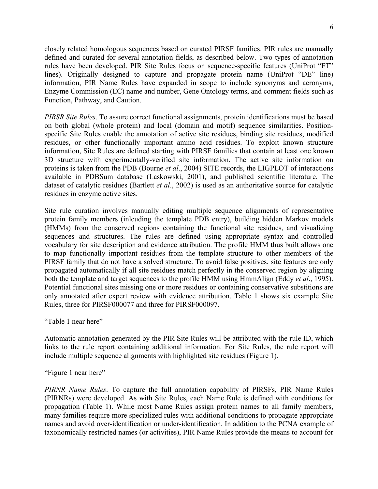closely related homologous sequences based on curated PIRSF families. PIR rules are manually defined and curated for several annotation fields, as described below. Two types of annotation rules have been developed. PIR Site Rules focus on sequence-specific features (UniProt "FT" lines). Originally designed to capture and propagate protein name (UniProt "DE" line) information, PIR Name Rules have expanded in scope to include synonyms and acronyms, Enzyme Commission (EC) name and number, Gene Ontology terms, and comment fields such as Function, Pathway, and Caution.

*PIRSR Site Rules*. To assure correct functional assignments, protein identifications must be based on both global (whole protein) and local (domain and motif) sequence similarities. Positionspecific Site Rules enable the annotation of active site residues, binding site residues, modified residues, or other functionally important amino acid residues. To exploit known structure information, Site Rules are defined starting with PIRSF families that contain at least one known 3D structure with experimentally-verified site information. The active site information on proteins is taken from the PDB (Bourne *et al*., 2004) SITE records, the LIGPLOT of interactions available in PDBSum database (Laskowski, 2001), and published scientific literature. The dataset of catalytic residues (Bartlett *et al*., 2002) is used as an authoritative source for catalytic residues in enzyme active sites.

Site rule curation involves manually editing multiple sequence alignments of representative protein family members (inlcuding the template PDB entry), building hidden Markov models (HMMs) from the conserved regions containing the functional site residues, and visualizing sequences and structures. The rules are defined using appropriate syntax and controlled vocabulary for site description and evidence attribution. The profile HMM thus built allows one to map functionally important residues from the template structure to other members of the PIRSF family that do not have a solved structure. To avoid false positives, site features are only propagated automatically if all site residues match perfectly in the conserved region by aligning both the template and target sequences to the profile HMM using HmmAlign (Eddy *et al*., 1995). Potential functional sites missing one or more residues or containing conservative substitions are only annotated after expert review with evidence attribution. Table 1 shows six example Site Rules, three for PIRSF000077 and three for PIRSF000097.

"Table 1 near here"

Automatic annotation generated by the PIR Site Rules will be attributed with the rule ID, which links to the rule report containing additional information. For Site Rules, the rule report will include multiple sequence alignments with highlighted site residues (Figure 1).

"Figure 1 near here"

*PIRNR Name Rules*. To capture the full annotation capability of PIRSFs, PIR Name Rules (PIRNRs) were developed. As with Site Rules, each Name Rule is defined with conditions for propagation (Table 1). While most Name Rules assign protein names to all family members, many families require more specialized rules with additional conditions to propagate appropriate names and avoid over-identification or under-identification. In addition to the PCNA example of taxonomically restricted names (or activities), PIR Name Rules provide the means to account for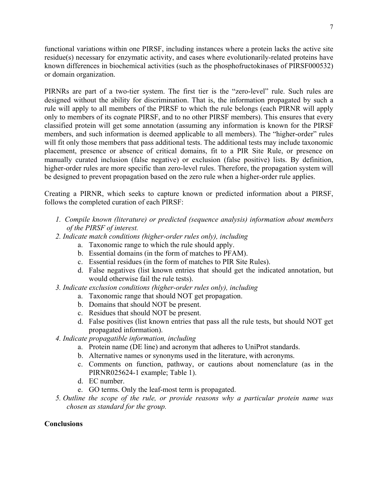functional variations within one PIRSF, including instances where a protein lacks the active site residue(s) necessary for enzymatic activity, and cases where evolutionarily-related proteins have known differences in biochemical activities (such as the phosphofructokinases of PIRSF000532) or domain organization.

PIRNRs are part of a two-tier system. The first tier is the "zero-level" rule. Such rules are designed without the ability for discrimination. That is, the information propagated by such a rule will apply to all members of the PIRSF to which the rule belongs (each PIRNR will apply only to members of its cognate PIRSF, and to no other PIRSF members). This ensures that every classified protein will get some annotation (assuming any information is known for the PIRSF members, and such information is deemed applicable to all members). The "higher-order" rules will fit only those members that pass additional tests. The additional tests may include taxonomic placement, presence or absence of critical domains, fit to a PIR Site Rule, or presence on manually curated inclusion (false negative) or exclusion (false positive) lists. By definition, higher-order rules are more specific than zero-level rules. Therefore, the propagation system will be designed to prevent propagation based on the zero rule when a higher-order rule applies.

Creating a PIRNR, which seeks to capture known or predicted information about a PIRSF, follows the completed curation of each PIRSF:

- *1. Compile known (literature) or predicted (sequence analysis) information about members of the PIRSF of interest.*
- *2. Indicate match conditions (higher-order rules only), including* 
	- a. Taxonomic range to which the rule should apply.
	- b. Essential domains (in the form of matches to PFAM).
	- c. Essential residues (in the form of matches to PIR Site Rules).
	- d. False negatives (list known entries that should get the indicated annotation, but would otherwise fail the rule tests).
- *3. Indicate exclusion conditions (higher-order rules only), including* 
	- a. Taxonomic range that should NOT get propagation.
	- b. Domains that should NOT be present.
	- c. Residues that should NOT be present.
	- d. False positives (list known entries that pass all the rule tests, but should NOT get propagated information).
- *4. Indicate propagatible information, including* 
	- a. Protein name (DE line) and acronym that adheres to UniProt standards.
	- b. Alternative names or synonyms used in the literature, with acronyms.
	- c. Comments on function, pathway, or cautions about nomenclature (as in the PIRNR025624-1 example; Table 1).
	- d. EC number.
	- e. GO terms. Only the leaf-most term is propagated.
- *5. Outline the scope of the rule, or provide reasons why a particular protein name was chosen as standard for the group.*

# **Conclusions**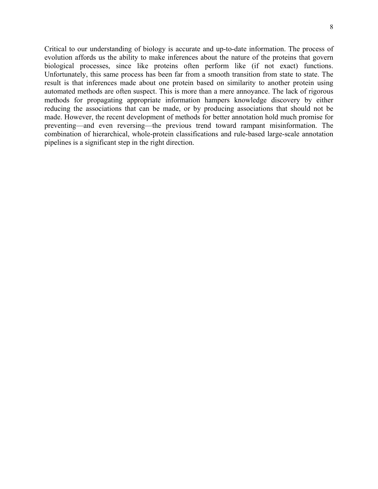Critical to our understanding of biology is accurate and up-to-date information. The process of evolution affords us the ability to make inferences about the nature of the proteins that govern biological processes, since like proteins often perform like (if not exact) functions. Unfortunately, this same process has been far from a smooth transition from state to state. The result is that inferences made about one protein based on similarity to another protein using automated methods are often suspect. This is more than a mere annoyance. The lack of rigorous methods for propagating appropriate information hampers knowledge discovery by either reducing the associations that can be made, or by producing associations that should not be made. However, the recent development of methods for better annotation hold much promise for preventing—and even reversing—the previous trend toward rampant misinformation. The combination of hierarchical, whole-protein classifications and rule-based large-scale annotation pipelines is a significant step in the right direction.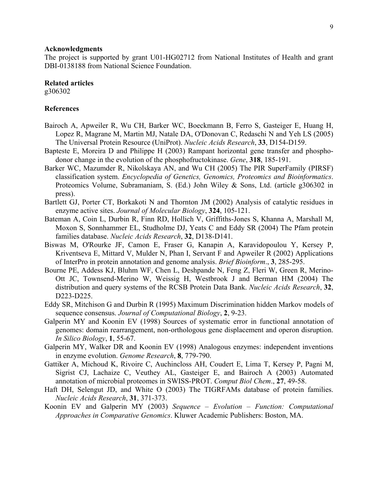# **Acknowledgments**

The project is supported by grant U01-HG02712 from National Institutes of Health and grant DBI-0138188 from National Science Foundation.

#### **Related articles**

g306302

#### **References**

- Bairoch A, Apweiler R, Wu CH, Barker WC, Boeckmann B, Ferro S, Gasteiger E, Huang H, Lopez R, Magrane M, Martin MJ, Natale DA, O'Donovan C, Redaschi N and Yeh LS (2005) The Universal Protein Resource (UniProt). *Nucleic Acids Research*, **33**, D154-D159.
- Bapteste E, Moreira D and Philippe H (2003) Rampant horizontal gene transfer and phosphodonor change in the evolution of the phosphofructokinase. *Gene*, **318**, 185-191.
- Barker WC, Mazumder R, Nikolskaya AN, and Wu CH (2005) The PIR SuperFamily (PIRSF) classification system. *Encyclopedia of Genetics, Genomics, Proteomics and Bioinformatics*. Proteomics Volume, Subramaniam, S. (Ed.) John Wiley & Sons, Ltd. (article g306302 in press).
- Bartlett GJ, Porter CT, Borkakoti N and Thornton JM (2002) Analysis of catalytic residues in enzyme active sites. *Journal of Molecular Biology*, **324**, 105-121.
- Bateman A, Coin L, Durbin R, Finn RD, Hollich V, Griffiths-Jones S, Khanna A, Marshall M, Moxon S, Sonnhammer EL, Studholme DJ, Yeats C and Eddy SR (2004) The Pfam protein families database. *Nucleic Acids Research*, **32**, D138-D141.
- Biswas M, O'Rourke JF, Camon E, Fraser G, Kanapin A, Karavidopoulou Y, Kersey P, Kriventseva E, Mittard V, Mulder N, Phan I, Servant F and Apweiler R (2002) Applications of InterPro in protein annotation and genome analysis. *Brief Bioinform*., **3**, 285-295.
- Bourne PE, Addess KJ, Bluhm WF, Chen L, Deshpande N, Feng Z, Fleri W, Green R, Merino-Ott JC, Townsend-Merino W, Weissig H, Westbrook J and Berman HM (2004) The distribution and query systems of the RCSB Protein Data Bank. *Nucleic Acids Research*, **32**, D223-D225.
- Eddy SR, Mitchison G and Durbin R (1995) Maximum Discrimination hidden Markov models of sequence consensus. *Journal of Computational Biology*, **2**, 9-23.
- Galperin MY and Koonin EV (1998) Sources of systematic error in functional annotation of genomes: domain rearrangement, non-orthologous gene displacement and operon disruption. *In Silico Biology*, **1**, 55-67.
- Galperin MY, Walker DR and Koonin EV (1998) Analogous enzymes: independent inventions in enzyme evolution. *Genome Research*, **8**, 779-790.
- Gattiker A, Michoud K, Rivoire C, Auchincloss AH, Coudert E, Lima T, Kersey P, Pagni M, Sigrist CJ, Lachaize C, Veuthey AL, Gasteiger E, and Bairoch A (2003) Automated annotation of microbial proteomes in SWISS-PROT. *Comput Biol Chem*., **27**, 49-58.
- Haft DH, Selengut JD, and White O (2003) The TIGRFAMs database of protein families. *Nucleic Acids Research*, **31**, 371-373.
- Koonin EV and Galperin MY (2003) *Sequence Evolution Function: Computational Approaches in Comparative Genomics*. Kluwer Academic Publishers: Boston, MA.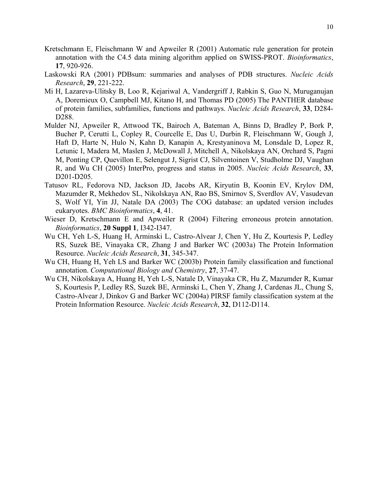- Kretschmann E, Fleischmann W and Apweiler R (2001) Automatic rule generation for protein annotation with the C4.5 data mining algorithm applied on SWISS-PROT. *Bioinformatics*, **17**, 920-926.
- Laskowski RA (2001) PDBsum: summaries and analyses of PDB structures. *Nucleic Acids Research*, **29**, 221-222.
- Mi H, Lazareva-Ulitsky B, Loo R, Kejariwal A, Vandergriff J, Rabkin S, Guo N, Muruganujan A, Doremieux O, Campbell MJ, Kitano H, and Thomas PD (2005) The PANTHER database of protein families, subfamilies, functions and pathways. *Nucleic Acids Research*, **33**, D284- D<sub>288</sub>.
- Mulder NJ, Apweiler R, Attwood TK, Bairoch A, Bateman A, Binns D, Bradley P, Bork P, Bucher P, Cerutti L, Copley R, Courcelle E, Das U, Durbin R, Fleischmann W, Gough J, Haft D, Harte N, Hulo N, Kahn D, Kanapin A, Krestyaninova M, Lonsdale D, Lopez R, Letunic I, Madera M, Maslen J, McDowall J, Mitchell A, Nikolskaya AN, Orchard S, Pagni M, Ponting CP, Quevillon E, Selengut J, Sigrist CJ, Silventoinen V, Studholme DJ, Vaughan R, and Wu CH (2005) InterPro, progress and status in 2005. *Nucleic Acids Research*, **33**, D201-D205.
- Tatusov RL, Fedorova ND, Jackson JD, Jacobs AR, Kiryutin B, Koonin EV, Krylov DM, Mazumder R, Mekhedov SL, Nikolskaya AN, Rao BS, Smirnov S, Sverdlov AV, Vasudevan S, Wolf YI, Yin JJ, Natale DA (2003) The COG database: an updated version includes eukaryotes. *BMC Bioinformatics*, **4**, 41.
- Wieser D, Kretschmann E and Apweiler R (2004) Filtering erroneous protein annotation. *Bioinformatics*, **20 Suppl 1**, I342-I347.
- Wu CH, Yeh L-S, Huang H, Arminski L, Castro-Alvear J, Chen Y, Hu Z, Kourtesis P, Ledley RS, Suzek BE, Vinayaka CR, Zhang J and Barker WC (2003a) The Protein Information Resource. *Nucleic Acids Research*, **31**, 345-347.
- Wu CH, Huang H, Yeh LS and Barker WC (2003b) Protein family classification and functional annotation. *Computational Biology and Chemistry*, **27**, 37-47.
- Wu CH, Nikolskaya A, Huang H, Yeh L-S, Natale D, Vinayaka CR, Hu Z, Mazumder R, Kumar S, Kourtesis P, Ledley RS, Suzek BE, Arminski L, Chen Y, Zhang J, Cardenas JL, Chung S, Castro-Alvear J, Dinkov G and Barker WC (2004a) PIRSF family classification system at the Protein Information Resource. *Nucleic Acids Research*, **32**, D112-D114.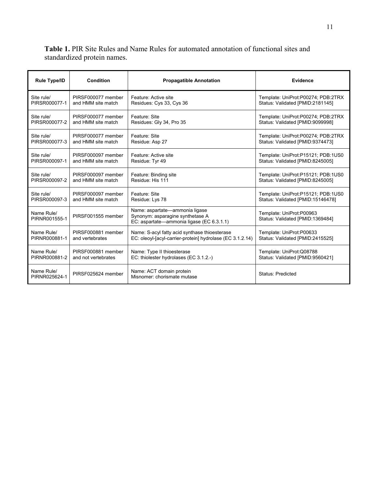**Table 1.** PIR Site Rules and Name Rules for automated annotation of functional sites and standardized protein names.

| <b>Rule Type/ID</b>         | Condition           | <b>Propagatible Annotation</b>                                                                                  | Evidence                                                     |  |  |  |
|-----------------------------|---------------------|-----------------------------------------------------------------------------------------------------------------|--------------------------------------------------------------|--|--|--|
| Site rule/                  | PIRSF000077 member  | Feature: Active site                                                                                            | Template: UniProt:P00274; PDB:2TRX                           |  |  |  |
| PIRSR000077-1               | and HMM site match  | Residues: Cys 33, Cys 36                                                                                        | Status: Validated [PMID:2181145]                             |  |  |  |
| Site rule/                  | PIRSF000077 member  | Feature: Site                                                                                                   | Template: UniProt:P00274; PDB:2TRX                           |  |  |  |
| PIRSR000077-2               | and HMM site match  | Residues: Gly 34, Pro 35                                                                                        | Status: Validated [PMID:9099998]                             |  |  |  |
| Site rule/                  | PIRSF000077 member  | Feature: Site                                                                                                   | Template: UniProt:P00274; PDB:2TRX                           |  |  |  |
| PIRSR000077-3               | and HMM site match  | Residue: Asp 27                                                                                                 | Status: Validated [PMID:9374473]                             |  |  |  |
| Site rule/                  | PIRSF000097 member  | Feature: Active site                                                                                            | Template: UniProt:P15121; PDB:1US0                           |  |  |  |
| PIRSR000097-1               | and HMM site match  | Residue: Tyr 49                                                                                                 | Status: Validated [PMID:8245005]                             |  |  |  |
| Site rule/                  | PIRSF000097 member  | Feature: Binding site                                                                                           | Template: UniProt:P15121; PDB:1US0                           |  |  |  |
| PIRSR000097-2               | and HMM site match  | Residue: His 111                                                                                                | Status: Validated [PMID:8245005]                             |  |  |  |
| Site rule/                  | PIRSF000097 member  | Feature: Site                                                                                                   | Template: UniProt:P15121; PDB:1US0                           |  |  |  |
| PIRSR000097-3               | and HMM site match  | Residue: Lys 78                                                                                                 | Status: Validated [PMID:15146478]                            |  |  |  |
| Name Rule/<br>PIRNR001555-1 | PIRSF001555 member  | Name: aspartate-ammonia ligase<br>Synonym: asparagine synthetase A<br>EC: aspartate-ammonia ligase (EC 6.3.1.1) | Template: UniProt:P00963<br>Status: Validated [PMID:1369484] |  |  |  |
| Name Rule/                  | PIRSF000881 member  | Name: S-acyl fatty acid synthase thioesterase                                                                   | Template: UniProt:P00633                                     |  |  |  |
| PIRNR000881-1               | and vertebrates     | EC: oleoyl-facyl-carrier-protein] hydrolase (EC 3.1.2.14)                                                       | Status: Validated [PMID:2415525]                             |  |  |  |
| Name Rule/                  | PIRSF000881 member  | Name: Type II thioesterase                                                                                      | Template: UniProt: Q08788                                    |  |  |  |
| PIRNR000881-2               | and not vertebrates | EC: thiolester hydrolases (EC 3.1.2.-)                                                                          | Status: Validated [PMID:9560421]                             |  |  |  |
| Name Rule/<br>PIRNR025624-1 | PIRSF025624 member  | Name: ACT domain protein<br>Misnomer: chorismate mutase                                                         | <b>Status: Predicted</b>                                     |  |  |  |